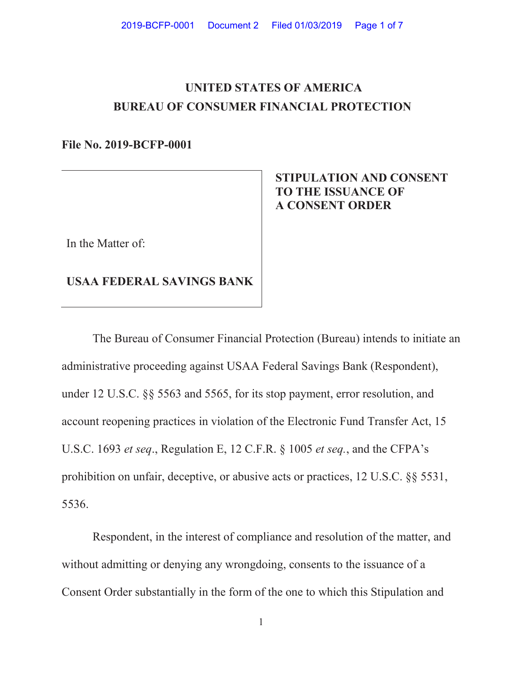# **UNITED STATES OF AMERICA BUREAU OF CONSUMER FINANCIAL PROTECTION**

**File No. 2019-BCFP-0001** 

# **STIPULATION AND CONSENT TO THE ISSUANCE OF A CONSENT ORDER**

In the Matter of:

**USAA FEDERAL SAVINGS BANK** 

The Bureau of Consumer Financial Protection (Bureau) intends to initiate an administrative proceeding against USAA Federal Savings Bank (Respondent), under 12 U.S.C. §§ 5563 and 5565, for its stop payment, error resolution, and account reopening practices in violation of the Electronic Fund Transfer Act, 15 U.S.C. 1693 *et seq*., Regulation E, 12 C.F.R. § 1005 *et seq.*, and the CFPA's prohibition on unfair, deceptive, or abusive acts or practices, 12 U.S.C. §§ 5531, 5536.

Respondent, in the interest of compliance and resolution of the matter, and without admitting or denying any wrongdoing, consents to the issuance of a Consent Order substantially in the form of the one to which this Stipulation and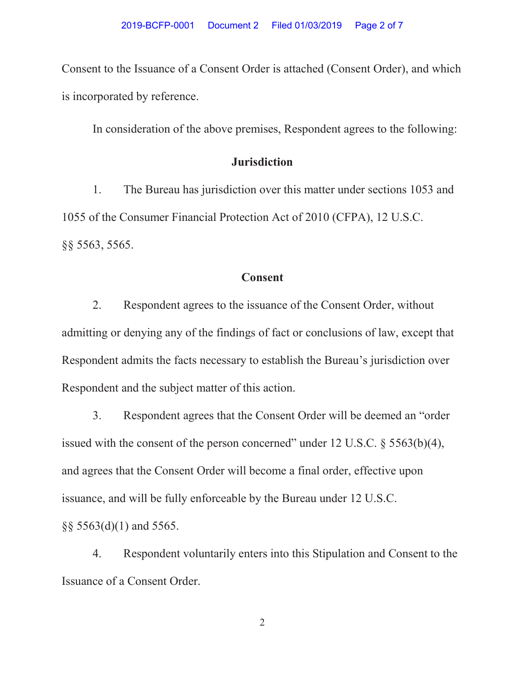Consent to the Issuance of a Consent Order is attached (Consent Order), and which is incorporated by reference.

In consideration of the above premises, Respondent agrees to the following:

# **Jurisdiction**

1. The Bureau has jurisdiction over this matter under sections 1053 and 1055 of the Consumer Financial Protection Act of 2010 (CFPA), 12 U.S.C. §§ 5563, 5565.

## **Consent**

2. Respondent agrees to the issuance of the Consent Order, without admitting or denying any of the findings of fact or conclusions of law, except that Respondent admits the facts necessary to establish the Bureau's jurisdiction over Respondent and the subject matter of this action.

3. Respondent agrees that the Consent Order will be deemed an "order issued with the consent of the person concerned" under 12 U.S.C.  $\S$  5563(b)(4), and agrees that the Consent Order will become a final order, effective upon issuance, and will be fully enforceable by the Bureau under 12 U.S.C. §§ 5563(d)(1) and 5565.

4. Respondent voluntarily enters into this Stipulation and Consent to the Issuance of a Consent Order.

2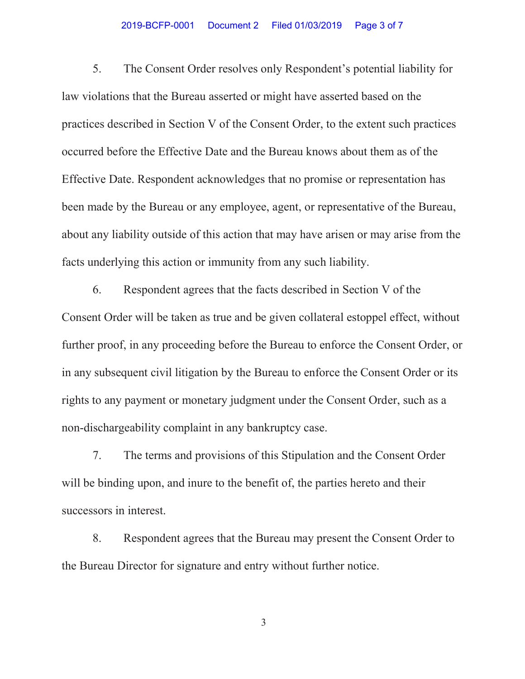#### 2019-BCFP-0001 Document 2 Filed 01/03/2019 Page 3 of 7

5. The Consent Order resolves only Respondent's potential liability for law violations that the Bureau asserted or might have asserted based on the practices described in Section V of the Consent Order, to the extent such practices occurred before the Effective Date and the Bureau knows about them as of the Effective Date. Respondent acknowledges that no promise or representation has been made by the Bureau or any employee, agent, or representative of the Bureau, about any liability outside of this action that may have arisen or may arise from the facts underlying this action or immunity from any such liability.

6. Respondent agrees that the facts described in Section V of the Consent Order will be taken as true and be given collateral estoppel effect, without further proof, in any proceeding before the Bureau to enforce the Consent Order, or in any subsequent civil litigation by the Bureau to enforce the Consent Order or its rights to any payment or monetary judgment under the Consent Order, such as a non-dischargeability complaint in any bankruptcy case.

7. The terms and provisions of this Stipulation and the Consent Order will be binding upon, and inure to the benefit of, the parties hereto and their successors in interest.

8. Respondent agrees that the Bureau may present the Consent Order to the Bureau Director for signature and entry without further notice.

3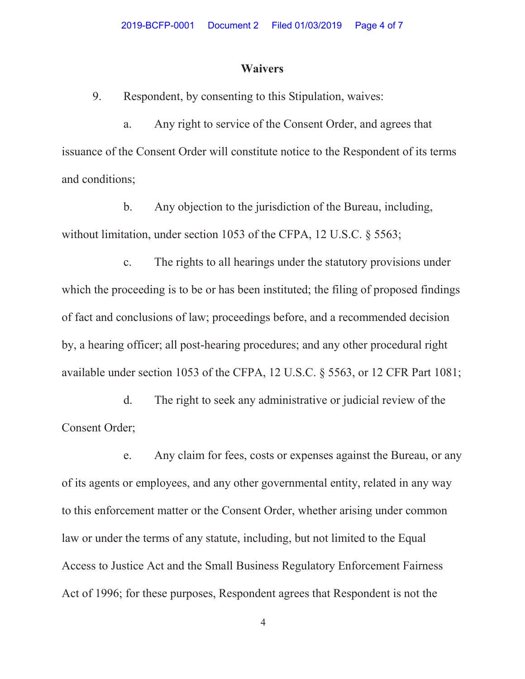### **Waivers**

9. Respondent, by consenting to this Stipulation, waives:

a. Any right to service of the Consent Order, and agrees that issuance of the Consent Order will constitute notice to the Respondent of its terms and conditions;

b. Any objection to the jurisdiction of the Bureau, including, without limitation, under section 1053 of the CFPA, 12 U.S.C. § 5563;

c. The rights to all hearings under the statutory provisions under which the proceeding is to be or has been instituted; the filing of proposed findings of fact and conclusions of law; proceedings before, and a recommended decision by, a hearing officer; all post-hearing procedures; and any other procedural right available under section 1053 of the CFPA, 12 U.S.C. § 5563, or 12 CFR Part 1081;

d. The right to seek any administrative or judicial review of the Consent Order;

e. Any claim for fees, costs or expenses against the Bureau, or any of its agents or employees, and any other governmental entity, related in any way to this enforcement matter or the Consent Order, whether arising under common law or under the terms of any statute, including, but not limited to the Equal Access to Justice Act and the Small Business Regulatory Enforcement Fairness Act of 1996; for these purposes, Respondent agrees that Respondent is not the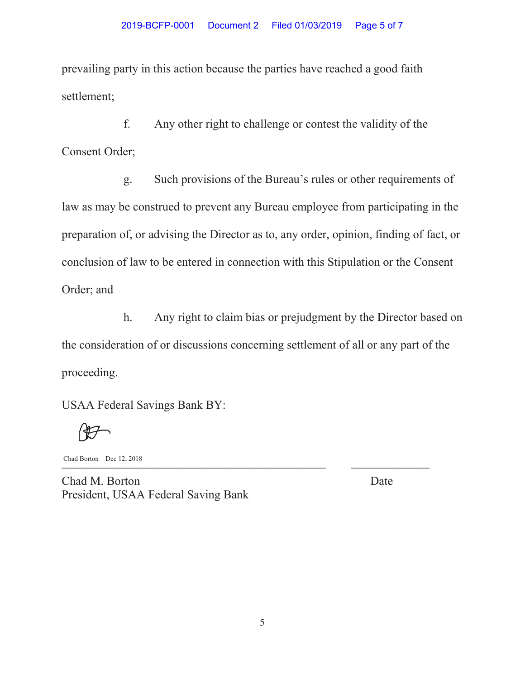prevailing party in this action because the parties have reached a good faith settlement;

f. Any other right to challenge or contest the validity of the Consent Order;

g. Such provisions of the Bureau's rules or other requirements of law as may be construed to prevent any Bureau employee from participating in the preparation of, or advising the Director as to, any order, opinion, finding of fact, or conclusion of law to be entered in connection with this Stipulation or the Consent Order; and

h. Any right to claim bias or prejudgment by the Director based on the consideration of or discussions concerning settlement of all or any part of the proceeding.

USAA Federal Savings Bank BY:

\_\_\_\_\_\_\_\_\_\_\_\_\_\_\_\_\_\_\_\_\_\_\_\_\_\_\_\_\_\_\_\_\_\_\_\_\_\_\_\_\_\_\_\_ \_\_\_\_\_\_\_\_\_\_\_\_\_ Chad Borton Dec 12, 2018

Chad M. Borton Date President, USAA Federal Saving Bank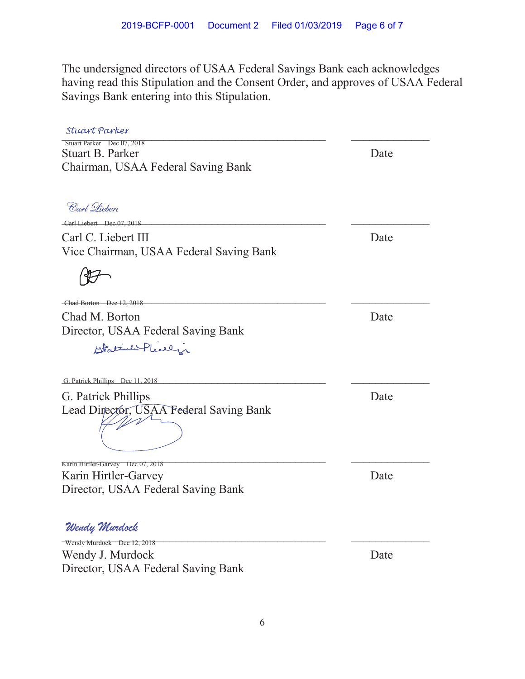The undersigned directors of USAA Federal Savings Bank each acknowledges having read this Stipulation and the Consent Order, and approves of USAA Federal Savings Bank entering into this Stipulation.

| Stuart Parker                                                                               |      |
|---------------------------------------------------------------------------------------------|------|
| Stuart Parker Dec 07, 2018<br><b>Stuart B. Parker</b><br>Chairman, USAA Federal Saving Bank | Date |
| Carl Lieber<br>Carl Liebert Dec 07, 2018                                                    |      |
| Carl C. Liebert III                                                                         | Date |
| Vice Chairman, USAA Federal Saving Bank                                                     |      |
|                                                                                             |      |
| Chad Borton Dec 12, 2018                                                                    |      |
| Chad M. Borton                                                                              | Date |
| Director, USAA Federal Saving Bank                                                          |      |
| Gratul Pleasen                                                                              |      |
| G. Patrick Phillips Dec 11, 2018                                                            |      |
| G. Patrick Phillips                                                                         | Date |
| Lead Director, USAA Federal Saving Bank                                                     |      |
|                                                                                             |      |
| Karin Hirtler-Garvey Dec 07, 2018                                                           |      |
| Karin Hirtler-Garvey                                                                        | Date |
| Director, USAA Federal Saving Bank                                                          |      |
| Wendy Murdock                                                                               |      |
| Wendy Murdock Dec 12, 2018                                                                  |      |
| Wendy J. Murdock                                                                            | Date |
| Director, USAA Federal Saving Bank                                                          |      |
|                                                                                             |      |